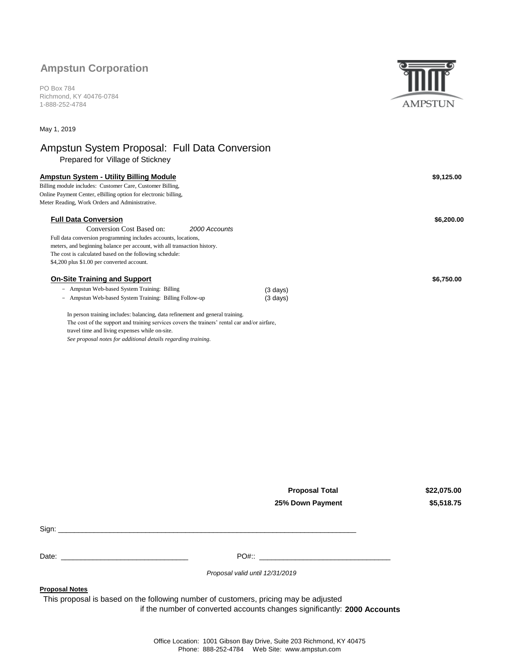## **Ampstun Corporation**

PO Box 784 Richmond, KY 40476-0784 1-888-252-4784

May 1, 2019

# Ampstun System Proposal: Full Data Conversion

Prepared for Village of Stickney

| <b>Ampstun System - Utility Billing Module</b>                                                     |               |                    | \$9,125.00 |
|----------------------------------------------------------------------------------------------------|---------------|--------------------|------------|
| Billing module includes: Customer Care, Customer Billing,                                          |               |                    |            |
| Online Payment Center, eBilling option for electronic billing,                                     |               |                    |            |
| Meter Reading, Work Orders and Administrative.                                                     |               |                    |            |
| <b>Full Data Conversion</b>                                                                        |               |                    | \$6,200.00 |
| Conversion Cost Based on:                                                                          | 2000 Accounts |                    |            |
| Full data conversion programming includes accounts, locations,                                     |               |                    |            |
| meters, and beginning balance per account, with all transaction history.                           |               |                    |            |
| The cost is calculated based on the following schedule:                                            |               |                    |            |
| \$4,200 plus \$1.00 per converted account.                                                         |               |                    |            |
| <b>On-Site Training and Support</b>                                                                |               |                    | \$6,750.00 |
| Ampstun Web-based System Training: Billing<br>$\overline{\phantom{0}}$                             |               | $(3 \text{ days})$ |            |
| Ampstun Web-based System Training: Billing Follow-up<br>$-$                                        |               | $(3 \text{ days})$ |            |
| The manuscripture in the face between the contractions of the contract of the contract problems of |               |                    |            |

In person training includes: balancing, data refinement and general training. The cost of the support and training services covers the trainers' rental car and/or airfare, travel time and living expenses while on-site. *See proposal notes for additional details regarding training.*

> **Proposal Total 25% Down Payment**

**\$22,075.00 \$5,518.75**

| Sign: |              |  |
|-------|--------------|--|
|       |              |  |
|       |              |  |
| Date: | <b>PO#::</b> |  |

*Proposal valid until 12/31/2019*

**Proposal Notes**

This proposal is based on the following number of customers, pricing may be adjusted

**2000 Accounts** if the number of converted accounts changes significantly:



Office Location: 1001 Gibson Bay Drive, Suite 203 Richmond, KY 40475 Phone: 888-252-4784 Web Site: www.ampstun.com